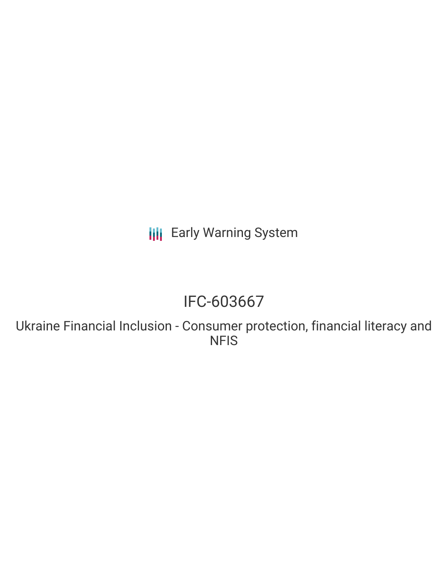## **III** Early Warning System

# IFC-603667

Ukraine Financial Inclusion - Consumer protection, financial literacy and **NFIS**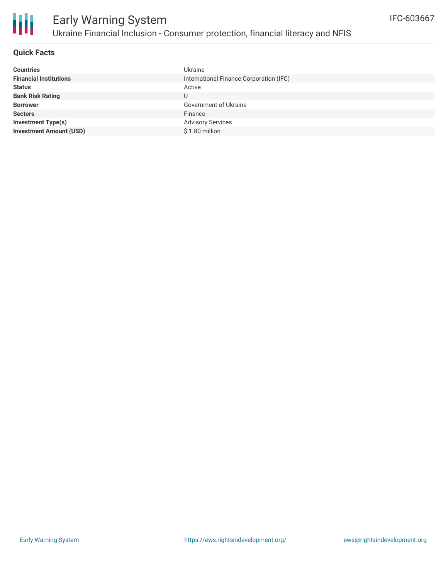

### **Quick Facts**

| <b>Ukraine</b>                          |
|-----------------------------------------|
| International Finance Corporation (IFC) |
| Active                                  |
| U                                       |
| Government of Ukraine                   |
| Finance                                 |
| <b>Advisory Services</b>                |
| \$1.80 million                          |
|                                         |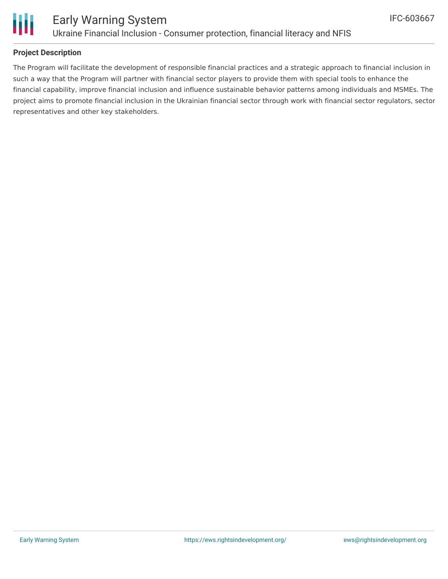

### **Project Description**

The Program will facilitate the development of responsible financial practices and a strategic approach to financial inclusion in such a way that the Program will partner with financial sector players to provide them with special tools to enhance the financial capability, improve financial inclusion and influence sustainable behavior patterns among individuals and MSMEs. The project aims to promote financial inclusion in the Ukrainian financial sector through work with financial sector regulators, sector representatives and other key stakeholders.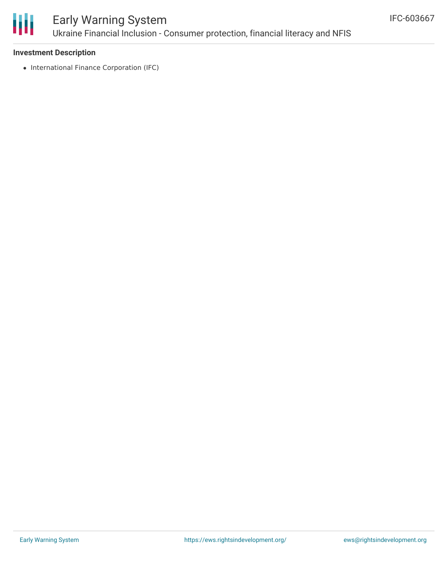

### Early Warning System Ukraine Financial Inclusion - Consumer protection, financial literacy and NFIS

### **Investment Description**

• International Finance Corporation (IFC)